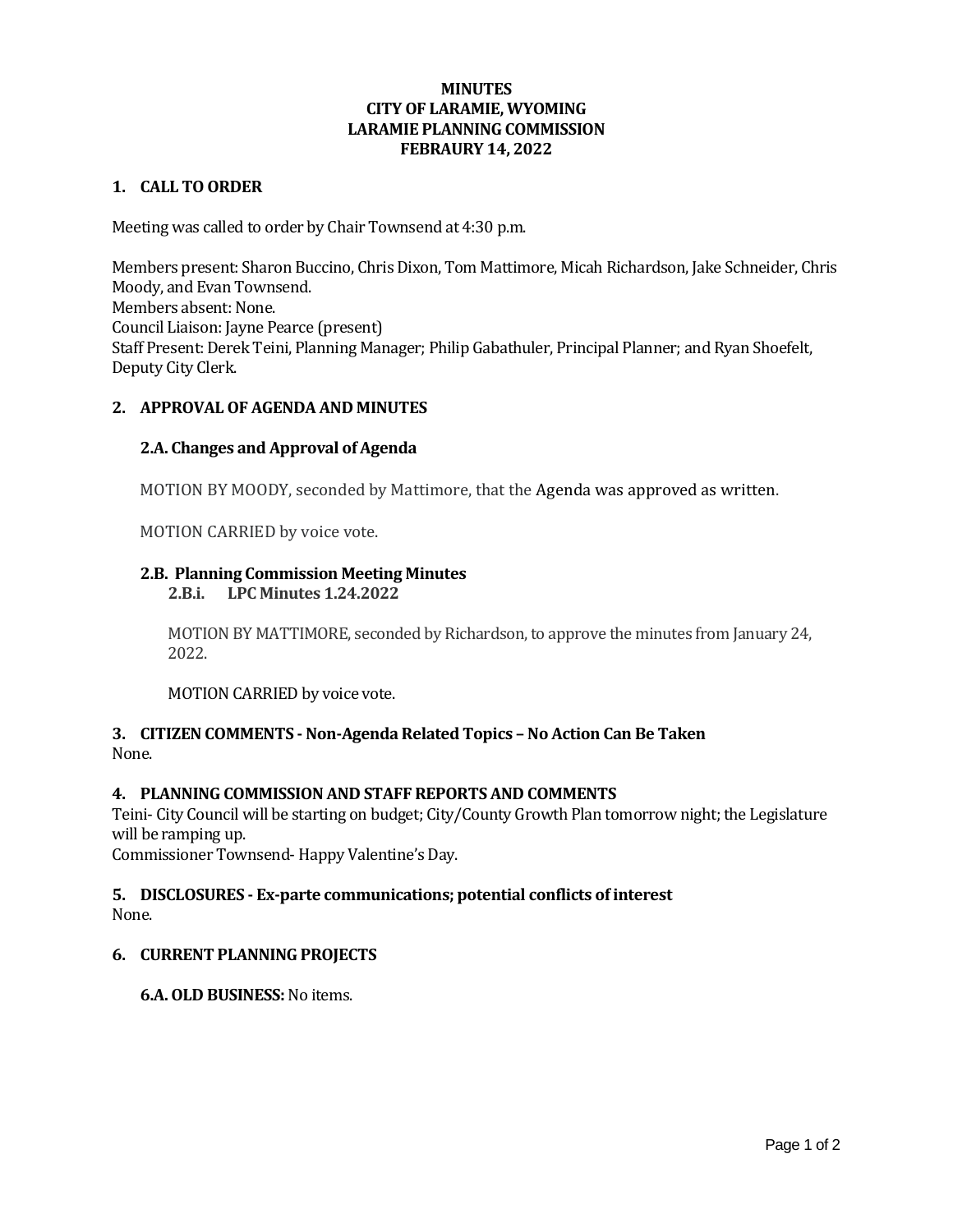# **MINUTES CITY OF LARAMIE, WYOMING LARAMIE PLANNING COMMISSION FEBRAURY 14, 2022**

### **1. CALL TO ORDER**

Meeting was called to order by Chair Townsend at 4:30 p.m.

Members present: Sharon Buccino, Chris Dixon, Tom Mattimore, Micah Richardson, Jake Schneider, Chris Moody, and Evan Townsend. Members absent: None. Council Liaison: Jayne Pearce (present) Staff Present: Derek Teini, Planning Manager; Philip Gabathuler, Principal Planner; and Ryan Shoefelt, Deputy City Clerk.

# **2. APPROVAL OF AGENDA AND MINUTES**

# **2.A. Changes and Approval of Agenda**

MOTION BY MOODY, seconded by Mattimore, that the Agenda was approved as written.

MOTION CARRIED by voice vote.

# **2.B. Planning Commission Meeting Minutes**

# **2.B.i. LPC Minutes 1.24.2022**

MOTION BY MATTIMORE, seconded by Richardson, to approve the minutes from January 24, 2022.

MOTION CARRIED by voice vote.

#### **3. CITIZEN COMMENTS - Non-Agenda Related Topics – No Action Can Be Taken** None.

### **4. PLANNING COMMISSION AND STAFF REPORTS AND COMMENTS**

Teini- City Council will be starting on budget; City/County Growth Plan tomorrow night; the Legislature will be ramping up.

Commissioner Townsend-Happy Valentine's Day.

#### **5. DISCLOSURES - Ex-parte communications; potential conflicts of interest** None.

### **6. CURRENT PLANNING PROJECTS**

**6.A. OLD BUSINESS:**No items.